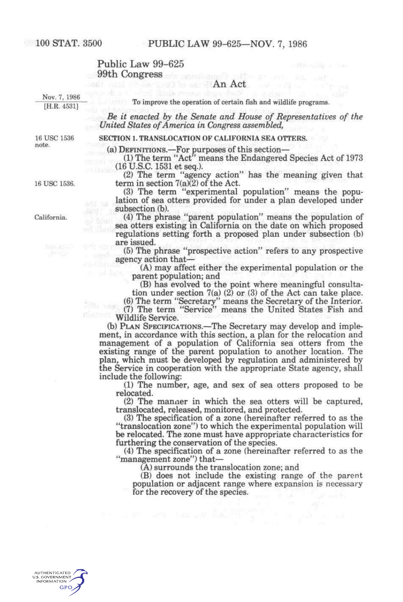### Public Law  $99-625$ 99th Congress ; ; ^,., r.. ;,

# An Act , and the second control of  $\mathbf{A}\mathbf{n}$  Act , and  $\mathbf{n}$

Nov. 7, 1986<br>
[H.R. 4531] To improve the operation of certain fish and wildlife programs. [H.R. 4531] To improve the operation of certain fish and whene programs.

*Be it enacted by the Senate and House of Representatives of the United States of America in Congress assembled,* 

16 USC 1536 SECTION 1. TRANSLOCATION OF CALIFORNIA SEA OTTERS.<br>note.

(a) DEFINITIONS.—For purposes of this section—

(1) The term "Act" means the Endangered Species Act of 1973 (16U.S.C.1531etseq.).

(2) The term "agency action" has the meaning given that 16 USC 1536. term in section  $7(a)(2)$  of the Act.

(3) The term "experimental population" means the population of sea otters provided for under a plan developed under lation of sea otters provided for under a plan developed under subsection (b).

California. (4) The phrase "parent population" means the population of sea otters existing in California on the date on which proposed regulations setting forth a proposed plan under subsection (b)  $\qquad \qquad \text{are issued}.$ 

(5) The phrase "prospective action" refers to any prospective agency action that—

(A) may affect either the experimental population or the parent population; and

(B) has evolved to the point where meaningful consulta-

tion under section 7(a) (2) or (3) of the Act can take place. (6) The term "Secretary" means the Secretary of the Interior. (7) The term "Service" means the United States Fish and Wildlife Service.

(b) PLAN SPECIFICATIONS.—The Secretary may develop and implement, in accordance with this section, a plan for the relocation and management of a population of California sea otters from the existing range of the parent population to another location. The plan, which must be developed by regulation and administered by the Service in cooperation with the appropriate State agency, shall include the following:

(1) The number, age, and sex of sea otters proposed to be relocated.

(2) The manner in which the sea otters will be captured, translocated, released, monitored, and protected.

(3) The specification of a zone (hereinafter referred to as the "translocation zone") to which the experimental population will be relocated. The zone must have appropriate characteristics for furthering the conservation of the species.

(4) The specification of a zone (hereinafter referred to as the "management zone") that—

(A) surrounds the translocation zone; and

(B) does not include the existing range of the parent population or adjacent range where expansion is necessary for the recovery of the species.

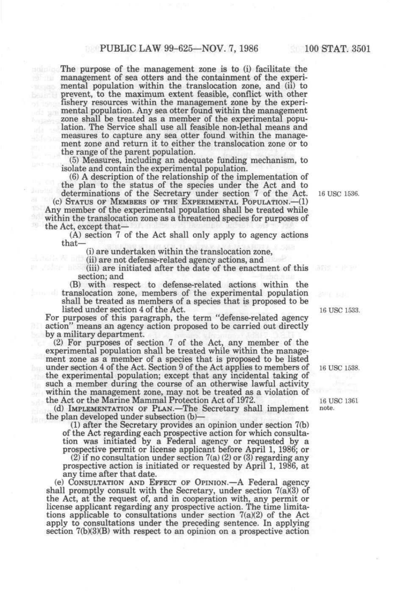The purpose of the management zone is to (i) facilitate the management of sea otters and the containment of the experimental population within the translocation zone, and (ii) to prevent, to the maximum extent feasible, conflict with other fishery resources within the management zone by the experimental population. Any sea otter found within the management zone shall be treated as a member of the experimental population. The Service shall use all feasible non-lethal means and measures to capture any sea otter found within the management zone and return it to either the translocation zone or to the range of the parent population.

(5) Measures, including an adequate funding mechanism, to isolate and contain the experimental population.

(6) A description of the relationship of the implementation of the plan to the status of the species under the Act and to

determinations of the Secretary under section 7 of the Act. 16 use 1536. (c) STATUS OF MEMBERS OF THE EXPERIMENTAL POPULATION.—(1) Any member of the experimental population shall be treated while within the translocation zone as a threatened species for purposes of the Act, except that—

(A) section 7 of the Act shall only apply to agency actions that—

(i) are undertaken within the translocation zone,

(ii) are not defense-related agency actions, and

m.

(iii) are initiated after the date of the enactment of this •' \* section; and

(B) with respect to defense-related actions within the translocation zone, members of the experimental population shall be treated as members of a species that is proposed to be listed under section 4 of the Act. 16 use 1533.

For purposes of this paragraph, the term "defense-related agency action" means an agency action proposed to be carried out directly by a military department.

(2) For purposes of section 7 of the Act, any member of the experimental population shall be treated while within the management zone as a member of a species that is proposed to be listed under section 4 of the Act. Section 9 of the Act applies to members of 16 USC 1538. the experimental population; except that any incidental taking of such a member during the course of an otherwise lawful activity within the management zone, may not be treated as a violation of the Act or the Marine Mammal Protection Act of 1972. 16 USC 1361

(d) IMPLEMENTATION OF PLAN.—The Secretary shall implement note. the plan developed under subsection (b)—

(1) after the Secretary provides an opinion under section 7(b) of the Act regarding each prospective action for which consultation was initiated by a Federal agency or requested by a prospective permit or license applicant before April 1, 1986; or

(2) if no consultation under section 7(a) (2) or (3) regarding any prospective action is initiated or requested by April 1, 1986, at any time after that date.

(e) CONSULTATION AND EFFECT OF OPINION.—A Federal agency shall promptly consult with the Secretary, under section  $7(a)(3)$  of the Act, at the request of, and in cooperation with, any permit or license applicant regarding any prospective action. The time limitations applicable to consultations under section 7(a)(2) of the Act apply to consultations under the preceding sentence. In applying section 7(b)(3)(B) with respect to an opinion on a prospective action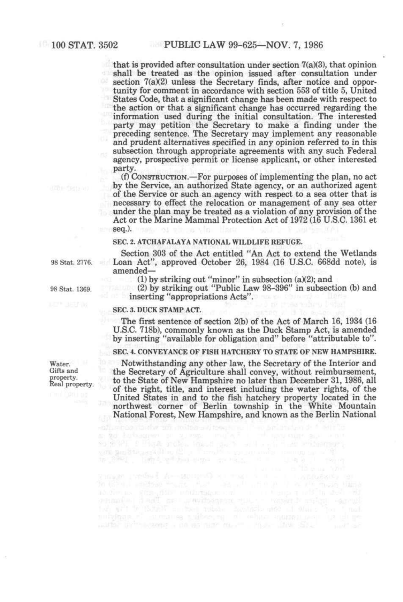- 4 that is provided after consultation under section  $7(a)(3)$ , that opinion shall be treated as the opinion issued after consultation under section 7(a)(2) unless the Secretary finds, after notice and opportunity for comment in accordance with section 553 of title 5, United States Code, that a significant change has been made with respect to the action or that a significant change has occurred regarding the information used during the initial consultation. The interested party may petition the Secretary to make a finding under the preceding sentence. The Secretary may implement any reasonable and prudent alternatives specified in any opinion referred to in this subsection through appropriate agreements with any such Federal agency, prospective permit or license applicant, or other interested party.

(f) CONSTRUCTION.—For purposes of implementing the plan, no act by the Service, an authorized State agency, or an authorized agent of the Service or such an agency with respect to a sea otter that is necessary to effect the relocation or management of any sea otter under the plan may be treated as a violation of any provision of the Act or the Marine Mammal Protection Act of 1972 (16 U.S.C. 1361 et **seq.).** *. We seq.).* 

#### SEC. 2. ATCHAFALAYA NATIONAL WILDLIFE REFUGE.

Section 303 of the Act entitled "An Act to extend the Wetlands Loan Act", approved October 26, 1984 (16 U.S.C. 668dd note), is amended—

(1) by striking out "minor" in subsection (a)(2); and

(2) by striking out "Public Law 98-396" in subsection (b) and inserting "appropriations Acts".

#### SEC. 3. DUCK STAMP ACT.

The first sentence of section 2(b) of the Act of March 16, 1934 (16 U.S.C. 718b), commonly known as the Duck Stamp Act, is amended by inserting "available for obligation and" before "attributable to".

SEC. 4. CONVEYANCE OF FISH HATCHERY TO STATE OF NEW HAMPSHIRE.

Notwithstanding any other law, the Secretary of the Interior and the Secretary of Agriculture shall convey, without reimbursement, to the State of New Hampshire no later than December 31,1986, all of the right, title, and interest including the water rights, of the United States in and to the fish hatchery property located in the northwest corner of Berlin township in the White Mountain National Forest, New Hampshire, and known as the Berlin National

98 Stat. 1369.

98 Stat. 2776.

Water. Gifts and property. Real property.

 $\begin{array}{l} \text{Number of A--inorms} \\ \text{The A--inorms} \\ \text{The A--inorms} \\ \text{The A--inorms} \\ \text{The A--inorms} \\ \text{The A--inorms} \\ \text{The A--inorms} \\ \text{The A--inorms} \\ \text{The A--inorms} \\ \text{The A--inorms} \\ \text{The A--inorms} \\ \text{The A--inorms} \\ \text{The A--inorms} \\ \text{The A--inorms} \\ \text{The A--inorms} \\ \text{The A--inorms} \\ \text{The A--inorms} \\ \text{The A--inorms} \\ \text{The A--inorms} \\ \text{$ 

 $\mathbf{S}(\mathcal{G},\mathcal{G}')$  . I think and in the state of the state of the state of the state of the state of the state of the state of the state of the state of the state of the state of the state of the state of the state of t